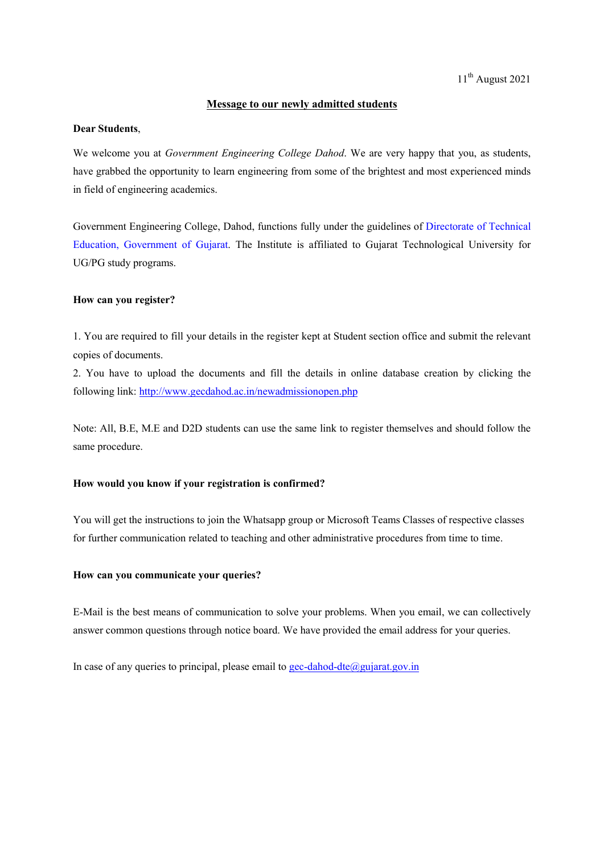# Message to our newly admitted students

### Dear Students,

We welcome you at *Government Engineering College Dahod*. We are very happy that you, as students, have grabbed the opportunity to learn engineering from some of the brightest and most experienced minds in field of engineering academics.

Government Engineering College, Dahod, functions fully under the guidelines of Directorate of Technical Education, Government of Gujarat. The Institute is affiliated to Gujarat Technological University for UG/PG study programs.

### How can you register?

1. You are required to fill your details in the register kept at Student section office and submit the relevant copies of documents.

2. You have to upload the documents and fill the details in online database creation by clicking the following link: http://www.gecdahod.ac.in/newadmissionopen.php

Note: All, B.E, M.E and D2D students can use the same link to register themselves and should follow the same procedure.

#### How would you know if your registration is confirmed?

You will get the instructions to join the Whatsapp group or Microsoft Teams Classes of respective classes for further communication related to teaching and other administrative procedures from time to time.

#### How can you communicate your queries?

E-Mail is the best means of communication to solve your problems. When you email, we can collectively answer common questions through notice board. We have provided the email address for your queries.

In case of any queries to principal, please email to gec-dahod-dte@gujarat.gov.in